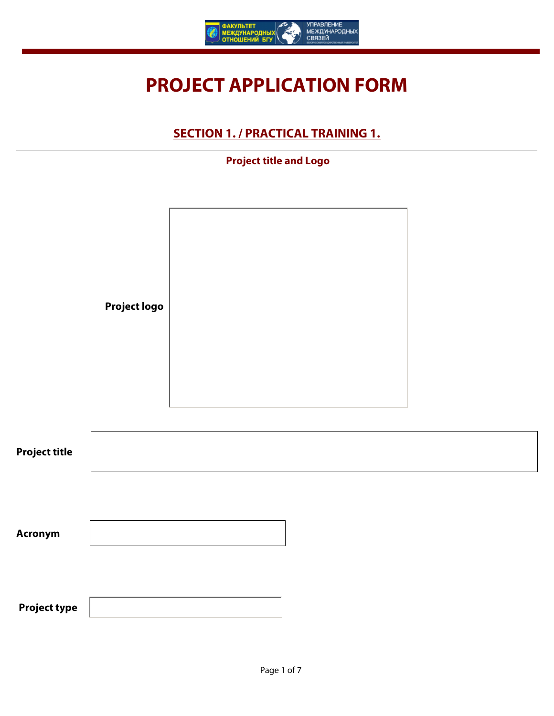

# **PROJECT APPLICATION FORM**

### **SECTION 1. / PRACTICAL TRAINING 1.**

#### $\overline{\phantom{0}}$  **Project title and Logo**

|                      | <b>Project logo</b> |                      |  |
|----------------------|---------------------|----------------------|--|
| <b>Project title</b> |                     |                      |  |
| Acronym              |                     |                      |  |
| <b>Project type</b>  |                     | $\blacktriangledown$ |  |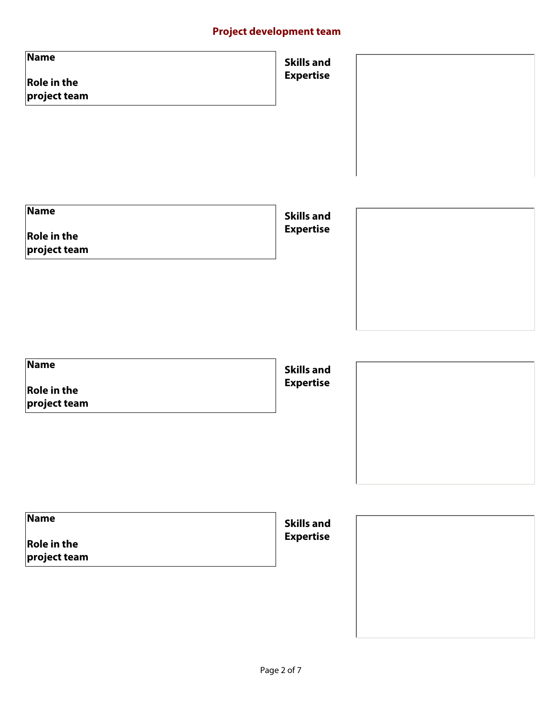### **Project development team**

| <b>Name</b><br><b>Role in the</b><br>$\vert \mathbf{v} \vert$<br>$ $ project team                                   | <b>Skills and</b><br><b>Expertise</b> |  |
|---------------------------------------------------------------------------------------------------------------------|---------------------------------------|--|
| <b>Name</b><br><b>Role in the</b><br>$\vert \bm{\nabla} \vert$<br>$\left  \mathsf{project}\, \mathsf{team} \right $ | <b>Skills and</b><br><b>Expertise</b> |  |
| <b>Name</b><br><b>Role in the</b><br>$\vert \mathbf{v} \vert$<br>$ $ project team                                   | <b>Skills and</b><br><b>Expertise</b> |  |
| <b>Name</b><br><b>Role in the</b><br>$\vert \mathbf{v} \vert$<br>$ $ project team                                   | <b>Skills and</b><br><b>Expertise</b> |  |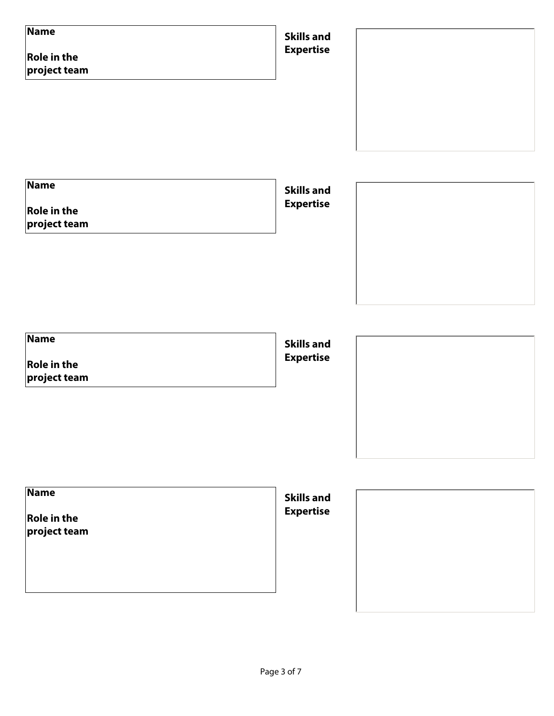| <b>Name</b><br><b>Role in the</b><br>$\left  \centerdot \right $<br>project team       | <b>Skills and</b><br><b>Expertise</b> |
|----------------------------------------------------------------------------------------|---------------------------------------|
| <b>Name</b><br><b>Role in the</b><br>$\left  \cdot \right $<br>$ $ project team        | <b>Skills and</b><br><b>Expertise</b> |
| <b>Name</b><br><b>Role in the</b><br>$\left  \rule{0pt}{10pt} \right $<br>project team | <b>Skills and</b><br><b>Expertise</b> |
| <b>Name</b><br><b>Role in the</b><br>$\left  \centerdot \right $<br>project team       | <b>Skills and</b><br><b>Expertise</b> |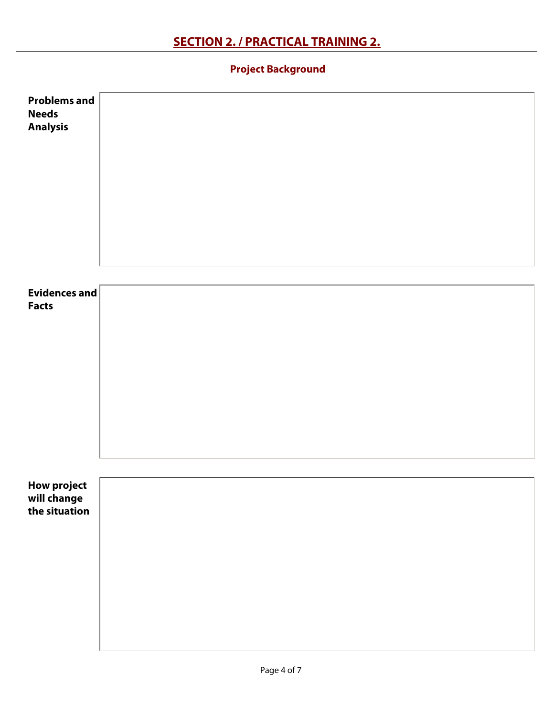٦  **Project Background**

| Problems and<br><b>Needs</b><br><b>Analysis</b>    |  |
|----------------------------------------------------|--|
| Evidences and<br><b>Facts</b>                      |  |
| <b>How project</b><br>will change<br>the situation |  |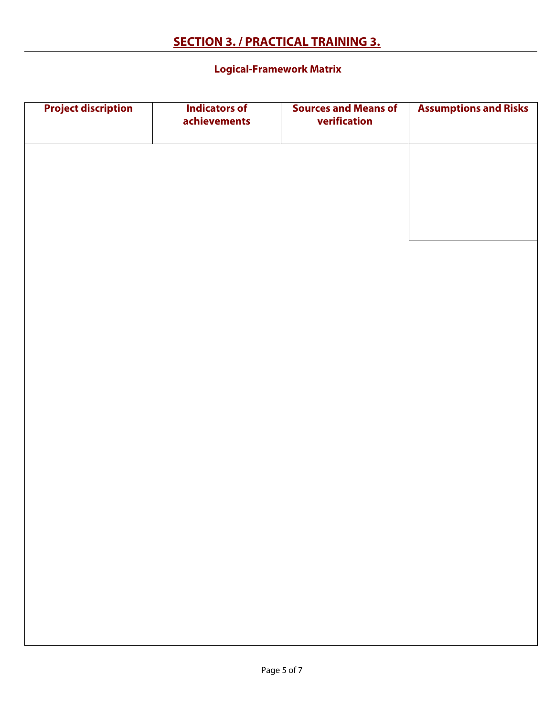#### ٦  **Logical-Framework Matrix**

| <b>Project discription</b> | <b>Indicators of</b><br>achievements | <b>Sources and Means of</b><br>verification | <b>Assumptions and Risks</b> |
|----------------------------|--------------------------------------|---------------------------------------------|------------------------------|
|                            |                                      |                                             |                              |
|                            |                                      |                                             |                              |
|                            |                                      |                                             |                              |
|                            |                                      |                                             |                              |
|                            |                                      |                                             |                              |
|                            |                                      |                                             |                              |
|                            |                                      |                                             |                              |
|                            |                                      |                                             |                              |
|                            |                                      |                                             |                              |
|                            |                                      |                                             |                              |
|                            |                                      |                                             |                              |
|                            |                                      |                                             |                              |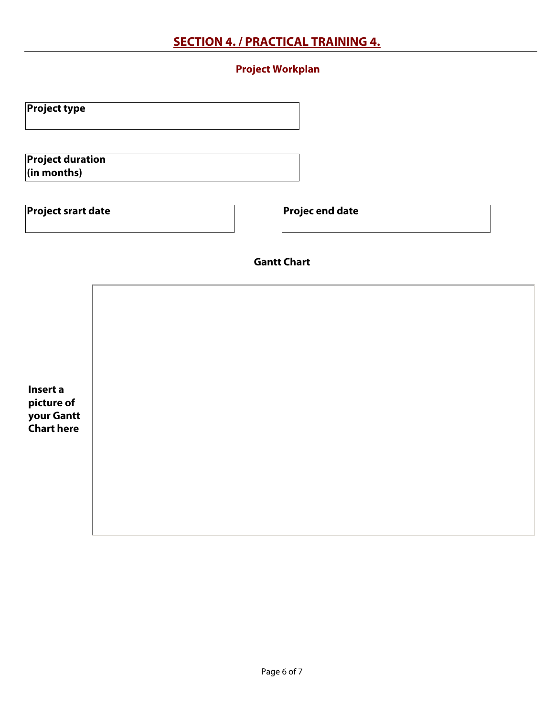# **SECTION 4. / PRACTICAL TRAINING 4.**

### ٦  **Project Workplan**

| <b>Project type</b>                                            |  | $\vert \cdot \vert$ |  |
|----------------------------------------------------------------|--|---------------------|--|
| <b>Project duration</b><br>$\left  \text{(in months)} \right $ |  |                     |  |
| <b>Project srart date</b>                                      |  | Projec end date     |  |
|                                                                |  | <b>Gantt Chart</b>  |  |
|                                                                |  |                     |  |
|                                                                |  |                     |  |
| Insert a<br>picture of<br>your Gantt                           |  |                     |  |
| <b>Chart here</b>                                              |  |                     |  |
|                                                                |  |                     |  |
|                                                                |  |                     |  |